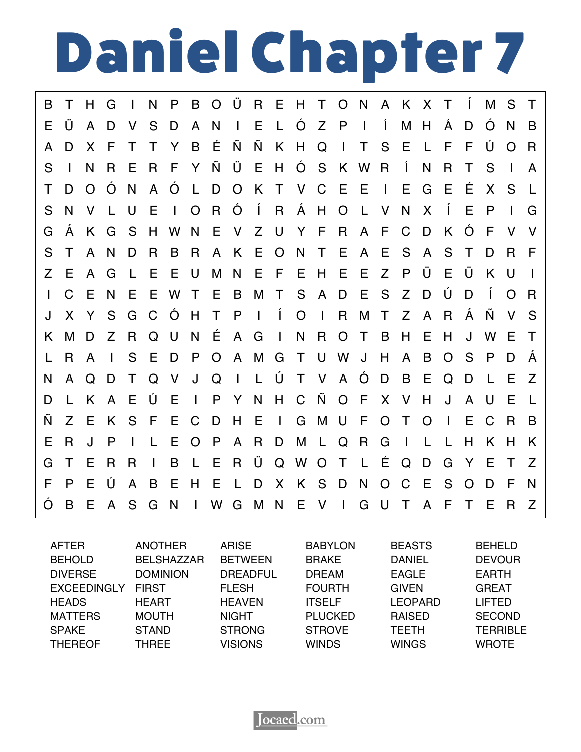## Daniel Chapter 7

B T H G I N P B O Ü R E H T O N A K X T Í M S T E Ü A D V S D A N I E L Ó Z P I Í M H Á D Ó N B A D X F T T Y B É Ñ Ñ K H Q I T S E L F F Ú O R S I N R E R F Y Ñ Ü E H Ó S K W R Í N R T S I A T D O Ó N A Ó L D O K T V C E E I E G E É X S L S N V L U E I O R Ó Í R Á H O L V N X Í E P I G G Á K G S H W N E V Z U Y F R A F C D K Ó F V V S T A N D R B R A K E O N T E A E S A S T D R F Z E A G L E E U M N E F E H E E Z P Ü E Ü K U I I C E N E E W T E B M T S A D E S Z D Ú D Í O R J X Y S G C Ó H T P I Í O I R M T Z A R Á Ñ V S K M D Z R Q U N É A G I N R O T B H E H J W E T L R A I S E D P O A M G T U W J H A B O S P D Á N A Q D T Q V J Q I L Ú T V A Ó D B E Q D L E Z D L K A E Ú E I P Y N H C Ñ O F X V H J A U E L Ñ Z E K S F E C D H E I G M U F O T O I E C R B E R J P I L E O P A R D M L Q R G I L L H K H K G T E R R I B L E R Ü Q W O T L É Q D G Y E T Z F P E Ú A B E H E L D X K S D N O C E S O D F N Ó B E A S G N I W G M N E V I G U T A F T E R Z

| <b>AFTER</b>       | <b>ANOTHER</b>    | <b>ARISE</b>    | <b>BABYLON</b> | <b>BEASTS</b>  | <b>BEHELD</b>   |
|--------------------|-------------------|-----------------|----------------|----------------|-----------------|
| <b>BEHOLD</b>      | <b>BELSHAZZAR</b> | <b>BETWEEN</b>  | <b>BRAKE</b>   | <b>DANIEL</b>  | <b>DEVOUR</b>   |
| <b>DIVERSE</b>     | <b>DOMINION</b>   | <b>DREADFUL</b> | <b>DREAM</b>   | <b>EAGLE</b>   | <b>EARTH</b>    |
| <b>EXCEEDINGLY</b> | <b>FIRST</b>      | <b>FLESH</b>    | <b>FOURTH</b>  | <b>GIVEN</b>   | <b>GREAT</b>    |
| <b>HEADS</b>       | <b>HEART</b>      | <b>HEAVEN</b>   | <b>ITSELF</b>  | <b>LEOPARD</b> | <b>LIFTED</b>   |
| <b>MATTERS</b>     | <b>MOUTH</b>      | <b>NIGHT</b>    | <b>PLUCKED</b> | <b>RAISED</b>  | <b>SECOND</b>   |
| <b>SPAKE</b>       | <b>STAND</b>      | <b>STRONG</b>   | <b>STROVE</b>  | <b>TEETH</b>   | <b>TERRIBLE</b> |
| <b>THEREOF</b>     | <b>THREE</b>      | <b>VISIONS</b>  | <b>WINDS</b>   | <b>WINGS</b>   | <b>WROTE</b>    |

**Jocaed**.com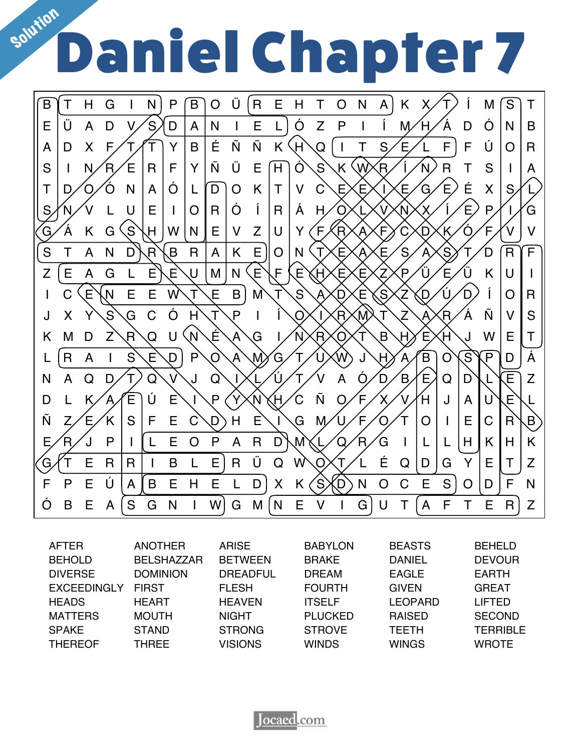## sour Daniel Chapter 7



| <b>AFTER</b>       | <b>ANOTHER</b>    | <b>ARISE</b>    | <b>BABYLON</b> | <b>BEASTS</b>  | <b>BEHELD</b>   |
|--------------------|-------------------|-----------------|----------------|----------------|-----------------|
| <b>BEHOLD</b>      | <b>BELSHAZZAR</b> | <b>BETWEEN</b>  | <b>BRAKE</b>   | <b>DANIEL</b>  | <b>DEVOUR</b>   |
| <b>DIVERSE</b>     | <b>DOMINION</b>   | <b>DREADFUL</b> | <b>DREAM</b>   | <b>EAGLE</b>   | <b>EARTH</b>    |
| <b>EXCEEDINGLY</b> | <b>FIRST</b>      | <b>FLESH</b>    | <b>FOURTH</b>  | <b>GIVEN</b>   | <b>GREAT</b>    |
| <b>HEADS</b>       | <b>HEART</b>      | <b>HEAVEN</b>   | <b>ITSELF</b>  | <b>LEOPARD</b> | <b>LIFTED</b>   |
| <b>MATTERS</b>     | <b>MOUTH</b>      | <b>NIGHT</b>    | <b>PLUCKED</b> | <b>RAISED</b>  | <b>SECOND</b>   |
| <b>SPAKE</b>       | <b>STAND</b>      | <b>STRONG</b>   | <b>STROVE</b>  | <b>TEETH</b>   | <b>TERRIBLE</b> |
| <b>THEREOF</b>     | <b>THREE</b>      | <b>VISIONS</b>  | <b>WINDS</b>   | <b>WINGS</b>   | <b>WROTE</b>    |

**Jocaed**.com